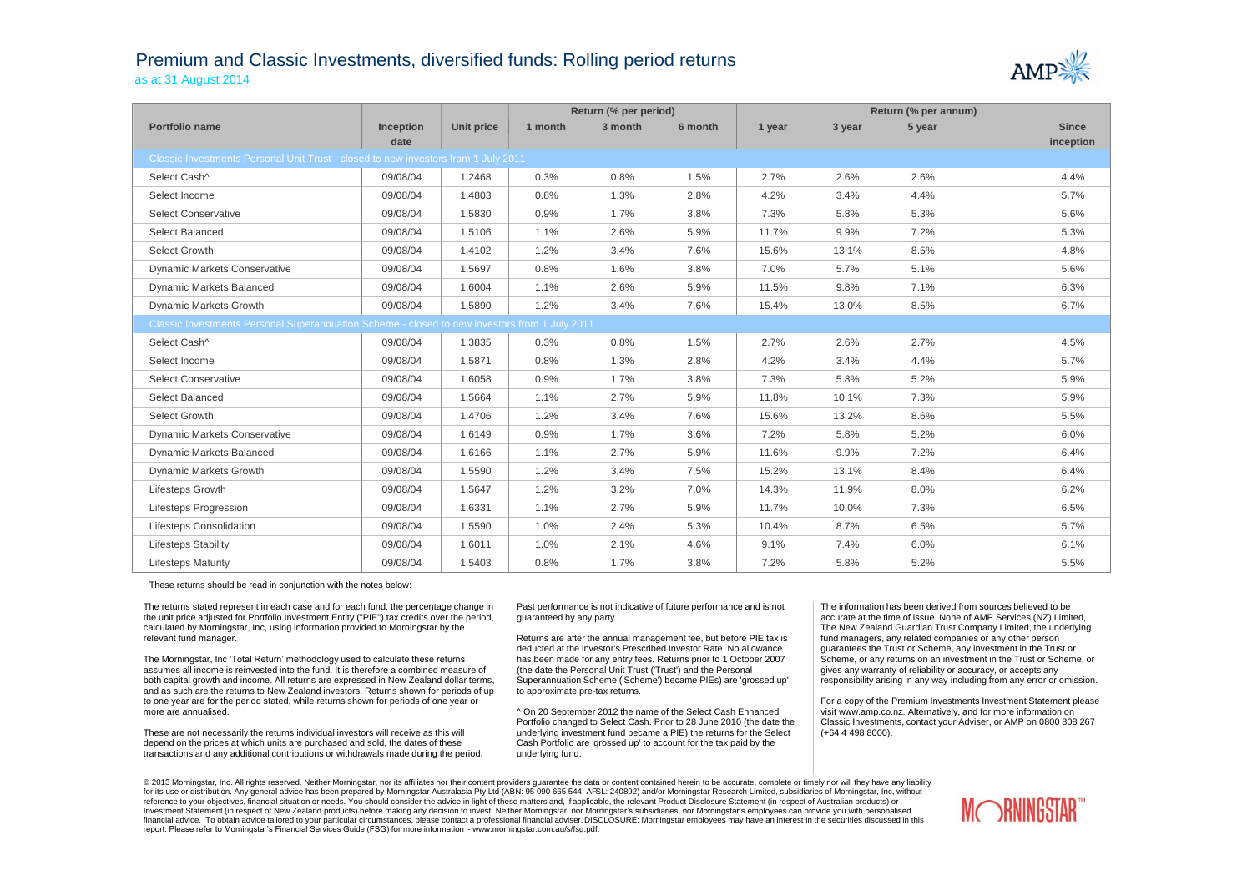## Premium and Classic Investments, diversified funds: Rolling period returns as at 31 August 2014



|                                                                                               |                  |                   | Return (% per period) |         | Return (% per annum) |        |        |        |              |
|-----------------------------------------------------------------------------------------------|------------------|-------------------|-----------------------|---------|----------------------|--------|--------|--------|--------------|
| Portfolio name                                                                                | <b>Inception</b> | <b>Unit price</b> | 1 month               | 3 month | 6 month              | 1 year | 3 year | 5 year | <b>Since</b> |
|                                                                                               | date             |                   |                       |         |                      |        |        |        | inception    |
| Classic Investments Personal Unit Trust - closed to new investors from 1 July 2011            |                  |                   |                       |         |                      |        |        |        |              |
| Select Cash^                                                                                  | 09/08/04         | 1.2468            | 0.3%                  | 0.8%    | 1.5%                 | 2.7%   | 2.6%   | 2.6%   | 4.4%         |
| Select Income                                                                                 | 09/08/04         | 1.4803            | 0.8%                  | 1.3%    | 2.8%                 | 4.2%   | 3.4%   | 4.4%   | 5.7%         |
| <b>Select Conservative</b>                                                                    | 09/08/04         | 1.5830            | 0.9%                  | 1.7%    | 3.8%                 | 7.3%   | 5.8%   | 5.3%   | 5.6%         |
| Select Balanced                                                                               | 09/08/04         | 1.5106            | 1.1%                  | 2.6%    | 5.9%                 | 11.7%  | 9.9%   | 7.2%   | 5.3%         |
| Select Growth                                                                                 | 09/08/04         | 1.4102            | 1.2%                  | 3.4%    | 7.6%                 | 15.6%  | 13.1%  | 8.5%   | 4.8%         |
| <b>Dynamic Markets Conservative</b>                                                           | 09/08/04         | 1.5697            | 0.8%                  | 1.6%    | 3.8%                 | 7.0%   | 5.7%   | 5.1%   | 5.6%         |
| <b>Dynamic Markets Balanced</b>                                                               | 09/08/04         | 1.6004            | 1.1%                  | 2.6%    | 5.9%                 | 11.5%  | 9.8%   | 7.1%   | 6.3%         |
| Dynamic Markets Growth                                                                        | 09/08/04         | 1.5890            | 1.2%                  | 3.4%    | 7.6%                 | 15.4%  | 13.0%  | 8.5%   | 6.7%         |
| Classic Investments Personal Superannuation Scheme - closed to new investors from 1 July 2011 |                  |                   |                       |         |                      |        |        |        |              |
| Select Cash^                                                                                  | 09/08/04         | 1.3835            | 0.3%                  | 0.8%    | 1.5%                 | 2.7%   | 2.6%   | 2.7%   | 4.5%         |
| Select Income                                                                                 | 09/08/04         | 1.5871            | 0.8%                  | 1.3%    | 2.8%                 | 4.2%   | 3.4%   | 4.4%   | 5.7%         |
| <b>Select Conservative</b>                                                                    | 09/08/04         | 1.6058            | 0.9%                  | 1.7%    | 3.8%                 | 7.3%   | 5.8%   | 5.2%   | 5.9%         |
| Select Balanced                                                                               | 09/08/04         | 1.5664            | 1.1%                  | 2.7%    | 5.9%                 | 11.8%  | 10.1%  | 7.3%   | 5.9%         |
| Select Growth                                                                                 | 09/08/04         | 1.4706            | 1.2%                  | 3.4%    | 7.6%                 | 15.6%  | 13.2%  | 8.6%   | 5.5%         |
| <b>Dynamic Markets Conservative</b>                                                           | 09/08/04         | 1.6149            | 0.9%                  | 1.7%    | 3.6%                 | 7.2%   | 5.8%   | 5.2%   | 6.0%         |
| <b>Dynamic Markets Balanced</b>                                                               | 09/08/04         | 1.6166            | 1.1%                  | 2.7%    | 5.9%                 | 11.6%  | 9.9%   | 7.2%   | 6.4%         |
| <b>Dynamic Markets Growth</b>                                                                 | 09/08/04         | 1.5590            | 1.2%                  | 3.4%    | 7.5%                 | 15.2%  | 13.1%  | 8.4%   | 6.4%         |
| <b>Lifesteps Growth</b>                                                                       | 09/08/04         | 1.5647            | 1.2%                  | 3.2%    | 7.0%                 | 14.3%  | 11.9%  | 8.0%   | 6.2%         |
| <b>Lifesteps Progression</b>                                                                  | 09/08/04         | 1.6331            | 1.1%                  | 2.7%    | 5.9%                 | 11.7%  | 10.0%  | 7.3%   | 6.5%         |
| Lifesteps Consolidation                                                                       | 09/08/04         | 1.5590            | 1.0%                  | 2.4%    | 5.3%                 | 10.4%  | 8.7%   | 6.5%   | 5.7%         |
| <b>Lifesteps Stability</b>                                                                    | 09/08/04         | 1.6011            | 1.0%                  | 2.1%    | 4.6%                 | 9.1%   | 7.4%   | 6.0%   | 6.1%         |
| <b>Lifesteps Maturity</b>                                                                     | 09/08/04         | 1.5403            | 0.8%                  | 1.7%    | 3.8%                 | 7.2%   | 5.8%   | 5.2%   | 5.5%         |

These returns should be read in conjunction with the notes below:

The returns stated represent in each case and for each fund, the percentage change in the unit price adjusted for Portfolio Investment Entity ("PIE") tax credits over the period, calculated by Morningstar, Inc, using information provided to Morningstar by the relevant fund manager.

The Morningstar, Inc 'Total Return' methodology used to calculate these returns assumes all income is reinvested into the fund. It is therefore a combined measure of both capital growth and income. All returns are expressed in New Zealand dollar terms, and as such are the returns to New Zealand investors. Returns shown for periods of up to one year are for the period stated, while returns shown for periods of one year or more are annualised.

These are not necessarily the returns individual investors will receive as this will depend on the prices at which units are purchased and sold, the dates of these transactions and any additional contributions or withdrawals made during the period.

Past performance is not indicative of future performance and is not guaranteed by any party.

Returns are after the annual management fee, but before PIE tax is deducted at the investor's Prescribed Investor Rate. No allowance has been made for any entry fees. Returns prior to 1 October 2007 (the date the Personal Unit Trust ('Trust') and the Personal Superannuation Scheme ('Scheme') became PIEs) are 'grossed up' to approximate pre-tax returns.

^ On 20 September 2012 the name of the Select Cash Enhanced Portfolio changed to Select Cash. Prior to 28 June 2010 (the date the underlying investment fund became a PIE) the returns for the Select Cash Portfolio are 'grossed up' to account for the tax paid by the underlying fund.

The information has been derived from sources believed to be accurate at the time of issue. None of AMP Services (NZ) Limited, The New Zealand Guardian Trust Company Limited, the underlying fund managers, any related companies or any other person guarantees the Trust or Scheme, any investment in the Trust or Scheme, or any returns on an investment in the Trust or Scheme, or gives any warranty of reliability or accuracy, or accepts any responsibility arising in any way including from any error or omission.

For a copy of the Premium Investments Investment Statement please visit www.amp.co.nz. Alternatively, and for more information on Classic Investments, contact your Adviser, or AMP on 0800 808 267 (+64 4 498 8000).

© 2013 Morningstar, Inc. All rights reserved. Neither Morningstar, nor its affiliates nor their content providers quarantee the data or content contained herein to be accurate, complete or timely nor will they have any lia for its use or distribution. Any general advice has been prepared by Morningstar Australasia Pty Ltd (ABN: 95 090 665 544, AFSL: 240892) and/or Morningstar Research Limited, subsidiaries of Morningstar, Inc, without reference to your objectives, financial situation or needs. You should consider the advice in light of these matters and, if applicable, the relevant Product Disclosure Statement (in respect of Australian products) or Investment Statement (in respect of New Zealand products) before making any decision to invest. Neither Morningstar, nor Morningstar's subsidiaries, nor Morningstar's employees can provide you with personalised financial advice. To obtain advice tailored to your particular circumstances, please contact a professional financial adviser. DISCLOSURE: Morningstar employees may have an interest in the securities discussed in this report. Please refer to Morningstar's Financial Services Guide (FSG) for more information - www.morningstar.com.au/s/fsg.pdf.